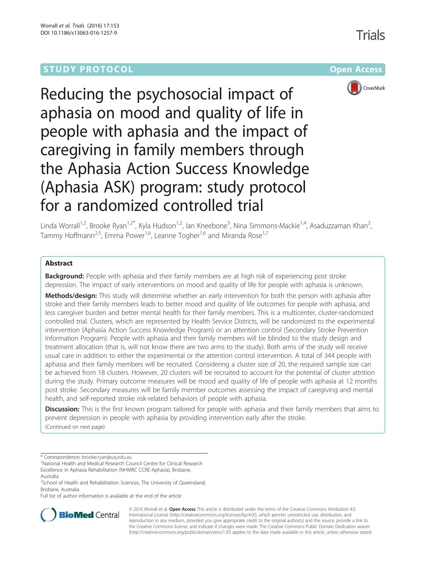# **STUDY PROTOCOL CONSUMING THE RESERVE ACCESS**

Trials





Reducing the psychosocial impact of aphasia on mood and quality of life in people with aphasia and the impact of caregiving in family members through the Aphasia Action Success Knowledge (Aphasia ASK) program: study protocol for a randomized controlled trial

Linda Worrall<sup>1,2</sup>, Brooke Ryan<sup>1,2\*</sup>, Kyla Hudson<sup>1,2</sup>, Ian Kneebone<sup>3</sup>, Nina Simmons-Mackie<sup>1,4</sup>, Asaduzzaman Khan<sup>2</sup> , Tammy Hoffmann<sup>2,5</sup>, Emma Power<sup>1,6</sup>, Leanne Togher<sup>1,6</sup> and Miranda Rose<sup>1,7</sup>

# Abstract

**Background:** People with aphasia and their family members are at high risk of experiencing post stroke depression. The impact of early interventions on mood and quality of life for people with aphasia is unknown.

Methods/design: This study will determine whether an early intervention for both the person with aphasia after stroke and their family members leads to better mood and quality of life outcomes for people with aphasia, and less caregiver burden and better mental health for their family members. This is a multicenter, cluster-randomized controlled trial. Clusters, which are represented by Health Service Districts, will be randomized to the experimental intervention (Aphasia Action Success Knowledge Program) or an attention control (Secondary Stroke Prevention Information Program). People with aphasia and their family members will be blinded to the study design and treatment allocation (that is, will not know there are two arms to the study). Both arms of the study will receive usual care in addition to either the experimental or the attention control intervention. A total of 344 people with aphasia and their family members will be recruited. Considering a cluster size of 20, the required sample size can be achieved from 18 clusters. However, 20 clusters will be recruited to account for the potential of cluster attrition during the study. Primary outcome measures will be mood and quality of life of people with aphasia at 12 months post stroke. Secondary measures will be family member outcomes assessing the impact of caregiving and mental health, and self-reported stroke risk-related behaviors of people with aphasia.

Discussion: This is the first known program tailored for people with aphasia and their family members that aims to prevent depression in people with aphasia by providing intervention early after the stroke.

(Continued on next page)

\* Correspondence: [brooke.ryan@uq.edu.au](mailto:brooke.ryan@uq.edu.au) <sup>1</sup>

<sup>1</sup>National Health and Medical Research Council Centre for Clinical Research Excellence in Aphasia Rehabilitation (NHMRC CCRE-Aphasia), Brisbane,

Australia

<sup>2</sup>School of Health and Rehabilitation Sciences, The University of Queensland, Brisbane, Australia

Full list of author information is available at the end of the article



© 2016 Worrall et al. Open Access This article is distributed under the terms of the Creative Commons Attribution 4.0 International License [\(http://creativecommons.org/licenses/by/4.0/](http://creativecommons.org/licenses/by/4.0/)), which permits unrestricted use, distribution, and reproduction in any medium, provided you give appropriate credit to the original author(s) and the source, provide a link to the Creative Commons license, and indicate if changes were made. The Creative Commons Public Domain Dedication waiver [\(http://creativecommons.org/publicdomain/zero/1.0/](http://creativecommons.org/publicdomain/zero/1.0/)) applies to the data made available in this article, unless otherwise stated.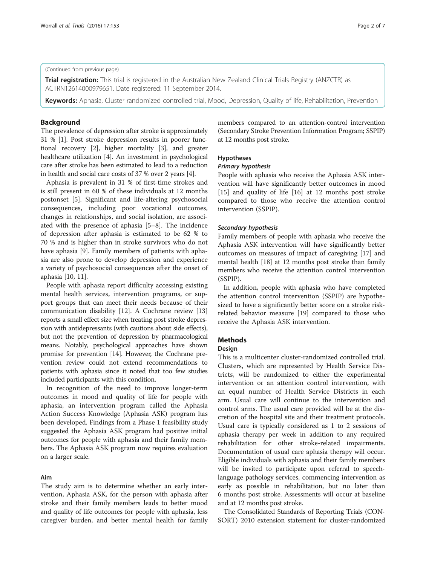#### (Continued from previous page)

**Trial registration:** This trial is registered in the Australian New Zealand Clinical Trials Registry (ANZCTR) as [ACTRN12614000979651.](https://www.anzctr.org.au/Trial/Registration/TrialReview.aspx?id=366683) Date registered: 11 September 2014.

Keywords: Aphasia, Cluster randomized controlled trial, Mood, Depression, Quality of life, Rehabilitation, Prevention

# Background

The prevalence of depression after stroke is approximately 31 % [[1](#page-5-0)]. Post stroke depression results in poorer functional recovery [[2\]](#page-5-0), higher mortality [[3](#page-5-0)], and greater healthcare utilization [\[4](#page-5-0)]. An investment in psychological care after stroke has been estimated to lead to a reduction in health and social care costs of 37 % over 2 years [\[4\]](#page-5-0).

Aphasia is prevalent in 31 % of first-time strokes and is still present in 60 % of these individuals at 12 months postonset [\[5\]](#page-5-0). Significant and life-altering psychosocial consequences, including poor vocational outcomes, changes in relationships, and social isolation, are associated with the presence of aphasia [\[5](#page-5-0)–[8](#page-5-0)]. The incidence of depression after aphasia is estimated to be 62 % to 70 % and is higher than in stroke survivors who do not have aphasia [\[9\]](#page-5-0). Family members of patients with aphasia are also prone to develop depression and experience a variety of psychosocial consequences after the onset of aphasia [[10, 11\]](#page-5-0).

People with aphasia report difficulty accessing existing mental health services, intervention programs, or support groups that can meet their needs because of their communication disability [\[12\]](#page-5-0). A Cochrane review [[13](#page-5-0)] reports a small effect size when treating post stroke depression with antidepressants (with cautions about side effects), but not the prevention of depression by pharmacological means. Notably, psychological approaches have shown promise for prevention [[14](#page-5-0)]. However, the Cochrane prevention review could not extend recommendations to patients with aphasia since it noted that too few studies included participants with this condition.

In recognition of the need to improve longer-term outcomes in mood and quality of life for people with aphasia, an intervention program called the Aphasia Action Success Knowledge (Aphasia ASK) program has been developed. Findings from a Phase 1 feasibility study suggested the Aphasia ASK program had positive initial outcomes for people with aphasia and their family members. The Aphasia ASK program now requires evaluation on a larger scale.

#### Aim

The study aim is to determine whether an early intervention, Aphasia ASK, for the person with aphasia after stroke and their family members leads to better mood and quality of life outcomes for people with aphasia, less caregiver burden, and better mental health for family members compared to an attention-control intervention (Secondary Stroke Prevention Information Program; SSPIP) at 12 months post stroke.

### Hypotheses

#### Primary hypothesis

People with aphasia who receive the Aphasia ASK intervention will have significantly better outcomes in mood [[15\]](#page-5-0) and quality of life [[16\]](#page-5-0) at 12 months post stroke compared to those who receive the attention control intervention (SSPIP).

#### Secondary hypothesis

Family members of people with aphasia who receive the Aphasia ASK intervention will have significantly better outcomes on measures of impact of caregiving [[17\]](#page-5-0) and mental health [[18\]](#page-5-0) at 12 months post stroke than family members who receive the attention control intervention (SSPIP).

In addition, people with aphasia who have completed the attention control intervention (SSPIP) are hypothesized to have a significantly better score on a stroke riskrelated behavior measure [[19\]](#page-5-0) compared to those who receive the Aphasia ASK intervention.

#### Methods

#### **Design**

This is a multicenter cluster-randomized controlled trial. Clusters, which are represented by Health Service Districts, will be randomized to either the experimental intervention or an attention control intervention, with an equal number of Health Service Districts in each arm. Usual care will continue to the intervention and control arms. The usual care provided will be at the discretion of the hospital site and their treatment protocols. Usual care is typically considered as 1 to 2 sessions of aphasia therapy per week in addition to any required rehabilitation for other stroke-related impairments. Documentation of usual care aphasia therapy will occur. Eligible individuals with aphasia and their family members will be invited to participate upon referral to speechlanguage pathology services, commencing intervention as early as possible in rehabilitation, but no later than 6 months post stroke. Assessments will occur at baseline and at 12 months post stroke.

The Consolidated Standards of Reporting Trials (CON-SORT) 2010 extension statement for cluster-randomized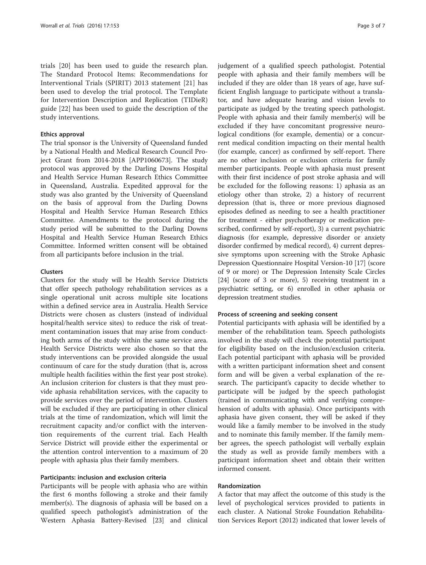trials [[20\]](#page-5-0) has been used to guide the research plan. The Standard Protocol Items: Recommendations for Interventional Trials (SPIRIT) 2013 statement [[21\]](#page-6-0) has been used to develop the trial protocol. The Template for Intervention Description and Replication (TIDieR) guide [[22\]](#page-6-0) has been used to guide the description of the study interventions.

### Ethics approval

The trial sponsor is the University of Queensland funded by a National Health and Medical Research Council Project Grant from 2014-2018 [APP1060673]. The study protocol was approved by the Darling Downs Hospital and Health Service Human Research Ethics Committee in Queensland, Australia. Expedited approval for the study was also granted by the University of Queensland on the basis of approval from the Darling Downs Hospital and Health Service Human Research Ethics Committee. Amendments to the protocol during the study period will be submitted to the Darling Downs Hospital and Health Service Human Research Ethics Committee. Informed written consent will be obtained from all participants before inclusion in the trial.

# Clusters

Clusters for the study will be Health Service Districts that offer speech pathology rehabilitation services as a single operational unit across multiple site locations within a defined service area in Australia. Health Service Districts were chosen as clusters (instead of individual hospital/health service sites) to reduce the risk of treatment contamination issues that may arise from conducting both arms of the study within the same service area. Health Service Districts were also chosen so that the study interventions can be provided alongside the usual continuum of care for the study duration (that is, across multiple health facilities within the first year post stroke). An inclusion criterion for clusters is that they must provide aphasia rehabilitation services, with the capacity to provide services over the period of intervention. Clusters will be excluded if they are participating in other clinical trials at the time of randomization, which will limit the recruitment capacity and/or conflict with the intervention requirements of the current trial. Each Health Service District will provide either the experimental or the attention control intervention to a maximum of 20 people with aphasia plus their family members.

#### Participants: inclusion and exclusion criteria

Participants will be people with aphasia who are within the first 6 months following a stroke and their family member(s). The diagnosis of aphasia will be based on a qualified speech pathologist's administration of the Western Aphasia Battery-Revised [[23](#page-6-0)] and clinical judgement of a qualified speech pathologist. Potential people with aphasia and their family members will be included if they are older than 18 years of age, have sufficient English language to participate without a translator, and have adequate hearing and vision levels to participate as judged by the treating speech pathologist. People with aphasia and their family member(s) will be excluded if they have concomitant progressive neurological conditions (for example, dementia) or a concurrent medical condition impacting on their mental health (for example, cancer) as confirmed by self-report. There are no other inclusion or exclusion criteria for family member participants. People with aphasia must present with their first incidence of post stroke aphasia and will be excluded for the following reasons: 1) aphasia as an etiology other than stroke, 2) a history of recurrent depression (that is, three or more previous diagnosed episodes defined as needing to see a health practitioner for treatment - either psychotherapy or medication prescribed, confirmed by self-report), 3) a current psychiatric diagnosis (for example, depressive disorder or anxiety disorder confirmed by medical record), 4) current depressive symptoms upon screening with the Stroke Aphasic Depression Questionnaire Hospital Version-10 [[17](#page-5-0)] (score of 9 or more) or The Depression Intensity Scale Circles [[24](#page-6-0)] (score of 3 or more), 5) receiving treatment in a psychiatric setting, or 6) enrolled in other aphasia or depression treatment studies.

#### Process of screening and seeking consent

Potential participants with aphasia will be identified by a member of the rehabilitation team. Speech pathologists involved in the study will check the potential participant for eligibility based on the inclusion/exclusion criteria. Each potential participant with aphasia will be provided with a written participant information sheet and consent form and will be given a verbal explanation of the research. The participant's capacity to decide whether to participate will be judged by the speech pathologist (trained in communicating with and verifying comprehension of adults with aphasia). Once participants with aphasia have given consent, they will be asked if they would like a family member to be involved in the study and to nominate this family member. If the family member agrees, the speech pathologist will verbally explain the study as well as provide family members with a participant information sheet and obtain their written informed consent.

# Randomization

A factor that may affect the outcome of this study is the level of psychological services provided to patients in each cluster. A National Stroke Foundation Rehabilitation Services Report (2012) indicated that lower levels of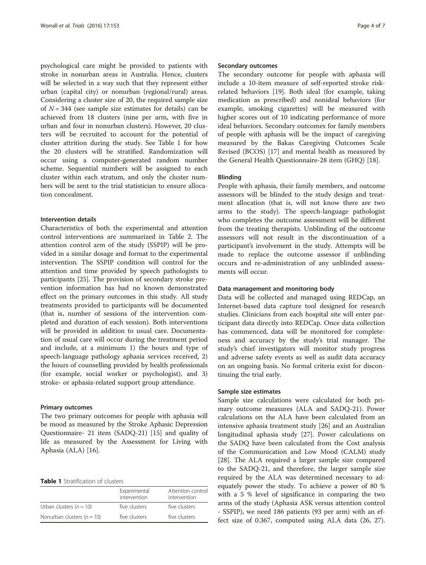psychological care might be provided to patients with stroke in nonurban areas in Australia. Hence, clusters will be selected in a way such that they represent either urban (capital city) or nonurban (regional/rural) areas. Considering a cluster size of 20, the required sample size of  $N = 344$  (see sample size estimates for details) can be achieved from 18 clusters (nine per arm, with five in urban and four in nonurban clusters). However, 20 clusters will be recruited to account for the potential of cluster attrition during the study. See Table 1 for how the 20 clusters will be stratified. Randomization will occur using a computer-generated random number scheme. Sequential numbers will be assigned to each cluster within each stratum, and only the cluster numbers will be sent to the trial statistician to ensure allocation concealment.

#### Intervention details

Characteristics of both the experimental and attention control interventions are summarized in Table [2](#page-4-0). The attention control arm of the study (SSPIP) will be provided in a similar dosage and format to the experimental intervention. The SSPIP condition will control for the attention and time provided by speech pathologists to participants [\[25\]](#page-6-0). The provision of secondary stroke prevention information has had no known demonstrated effect on the primary outcomes in this study. All study treatments provided to participants will be documented (that is, number of sessions of the intervention completed and duration of each session). Both interventions will be provided in addition to usual care. Documentation of usual care will occur during the treatment period and include, at a minimum 1) the hours and type of speech-language pathology aphasia services received, 2) the hours of counselling provided by health professionals (for example, social worker or psychologist), and 3) stroke- or aphasia-related support group attendance.

#### Primary outcomes

The two primary outcomes for people with aphasia will be mood as measured by the Stroke Aphasic Depression Questionnaire- 21 item (SADQ-21) [[15](#page-5-0)] and quality of life as measured by the Assessment for Living with Aphasia (ALA) [[16](#page-5-0)].

#### Table 1 Stratification of clusters

|                                | Experimental<br>intervention | Attention control<br>intervention |
|--------------------------------|------------------------------|-----------------------------------|
| Urban clusters ( $n = 10$ )    | five clusters                | five clusters                     |
| Nonurban clusters ( $n = 10$ ) | five clusters                | five clusters                     |

#### Secondary outcomes

The secondary outcome for people with aphasia will include a 10-item measure of self-reported stroke riskrelated behaviors [\[19](#page-5-0)]. Both ideal (for example, taking medication as prescribed) and nonideal behaviors (for example, smoking cigarettes) will be measured with higher scores out of 10 indicating performance of more ideal behaviors. Secondary outcomes for family members of people with aphasia will be the impact of caregiving measured by the Bakas Caregiving Outcomes Scale Revised (BCOS) [[17\]](#page-5-0) and mental health as measured by the General Health Questionnaire-28 item (GHQ) [\[18](#page-5-0)].

#### Blinding

People with aphasia, their family members, and outcome assessors will be blinded to the study design and treatment allocation (that is, will not know there are two arms to the study). The speech-language pathologist who completes the outcome assessment will be different from the treating therapists. Unblinding of the outcome assessors will not result in the discontinuation of a participant's involvement in the study. Attempts will be made to replace the outcome assessor if unblinding occurs and re-administration of any unblinded assessments will occur.

#### Data management and monitoring body

Data will be collected and managed using REDCap, an Internet-based data capture tool designed for research studies. Clinicians from each hospital site will enter participant data directly into REDCap. Once data collection has commenced, data will be monitored for completeness and accuracy by the study's trial manager. The study's chief investigators will monitor study progress and adverse safety events as well as audit data accuracy on an ongoing basis. No formal criteria exist for discontinuing the trial early.

#### Sample size estimates

Sample size calculations were calculated for both primary outcome measures (ALA and SADQ-21). Power calculations on the ALA have been calculated from an intensive aphasia treatment study [[26\]](#page-6-0) and an Australian longitudinal aphasia study [\[27\]](#page-6-0). Power calculations on the SADQ have been calculated from the Cost analysis of the Communication and Low Mood (CALM) study [[28\]](#page-6-0). The ALA required a larger sample size compared to the SADQ-21, and therefore, the larger sample size required by the ALA was determined necessary to adequately power the study. To achieve a power of 80 % with a 5 % level of significance in comparing the two arms of the study (Aphasia ASK versus attention control - SSPIP), we need 186 patients (93 per arm) with an effect size of 0.367, computed using ALA data (26, 27).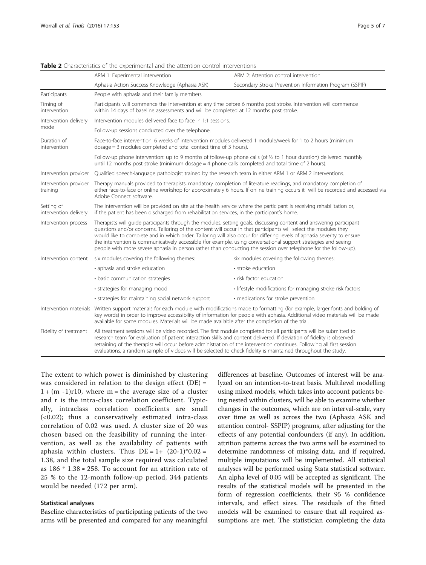#### <span id="page-4-0"></span>Table 2 Characteristics of the experimental and the attention control interventions

|                                     | ARM 1: Experimental intervention                                                                                                                                                                                                                                                                                                                                                                                                                                                                                                                                                                         | ARM 2: Attention control intervention                      |  |
|-------------------------------------|----------------------------------------------------------------------------------------------------------------------------------------------------------------------------------------------------------------------------------------------------------------------------------------------------------------------------------------------------------------------------------------------------------------------------------------------------------------------------------------------------------------------------------------------------------------------------------------------------------|------------------------------------------------------------|--|
|                                     | Aphasia Action Success Knowledge (Aphasia ASK)                                                                                                                                                                                                                                                                                                                                                                                                                                                                                                                                                           | Secondary Stroke Prevention Information Program (SSPIP)    |  |
| Participants                        | People with aphasia and their family members                                                                                                                                                                                                                                                                                                                                                                                                                                                                                                                                                             |                                                            |  |
| Timing of<br>intervention           | Participants will commence the intervention at any time before 6 months post stroke. Intervention will commence<br>within 14 days of baseline assessments and will be completed at 12 months post stroke.                                                                                                                                                                                                                                                                                                                                                                                                |                                                            |  |
| Intervention delivery<br>mode       | Intervention modules delivered face to face in 1:1 sessions.                                                                                                                                                                                                                                                                                                                                                                                                                                                                                                                                             |                                                            |  |
|                                     | Follow-up sessions conducted over the telephone.                                                                                                                                                                                                                                                                                                                                                                                                                                                                                                                                                         |                                                            |  |
| Duration of<br>intervention         | Face-to-face intervention: 6 weeks of intervention modules delivered 1 module/week for 1 to 2 hours (minimum<br>$dose = 3$ modules completed and total contact time of $3$ hours).                                                                                                                                                                                                                                                                                                                                                                                                                       |                                                            |  |
|                                     | Follow-up phone intervention: up to 9 months of follow-up phone calls (of $\frac{1}{2}$ to 1 hour duration) delivered monthly<br>until 12 months post stroke (minimum dosage $=$ 4 phone calls completed and total time of 2 hours).                                                                                                                                                                                                                                                                                                                                                                     |                                                            |  |
| Intervention provider               | Qualified speech-language pathologist trained by the research team in either ARM 1 or ARM 2 interventions.                                                                                                                                                                                                                                                                                                                                                                                                                                                                                               |                                                            |  |
| Intervention provider<br>training   | Therapy manuals provided to therapists, mandatory completion of literature readings, and mandatory completion of<br>either face-to-face or online workshop for approximately 6 hours. If online training occurs it will be recorded and accessed via<br>Adobe Connect software.                                                                                                                                                                                                                                                                                                                          |                                                            |  |
| Setting of<br>intervention delivery | The intervention will be provided on site at the health service where the participant is receiving rehabilitation or,<br>if the patient has been discharged from rehabilitation services, in the participant's home.                                                                                                                                                                                                                                                                                                                                                                                     |                                                            |  |
| Intervention process                | Therapists will quide participants through the modules, setting goals, discussing content and answering participant<br>questions and/or concerns. Tailoring of the content will occur in that participants will select the modules they<br>would like to complete and in which order. Tailoring will also occur for differing levels of aphasia severity to ensure<br>the intervention is communicatively accessible (for example, using conversational support strategies and seeing<br>people with more severe aphasia in person rather than conducting the session over telephone for the follow-up). |                                                            |  |
| Intervention content                | six modules covering the following themes:                                                                                                                                                                                                                                                                                                                                                                                                                                                                                                                                                               | six modules covering the following themes:                 |  |
|                                     | • aphasia and stroke education                                                                                                                                                                                                                                                                                                                                                                                                                                                                                                                                                                           | · stroke education                                         |  |
|                                     | · basic communication strategies                                                                                                                                                                                                                                                                                                                                                                                                                                                                                                                                                                         | · risk factor education                                    |  |
|                                     | · strategies for managing mood                                                                                                                                                                                                                                                                                                                                                                                                                                                                                                                                                                           | · lifestyle modifications for managing stroke risk factors |  |
|                                     | • strategies for maintaining social network support                                                                                                                                                                                                                                                                                                                                                                                                                                                                                                                                                      | • medications for stroke prevention                        |  |
|                                     | Intervention materials Written support materials for each module with modifications made to formatting (for example, larger fonts and bolding of<br>key words) in order to improve accessibility of information for people with aphasia. Additional video materials will be made<br>available for some modules. Materials will be made available after the completion of the trial.                                                                                                                                                                                                                      |                                                            |  |
| Fidelity of treatment               | All treatment sessions will be video recorded. The first module completed for all participants will be submitted to<br>research team for evaluation of patient interaction skills and content delivered. If deviation of fidelity is observed<br>retraining of the therapist will occur before administration of the intervention continues. Following all first session<br>evaluations, a random sample of videos will be selected to check fidelity is maintained throughout the study.                                                                                                                |                                                            |  |

The extent to which power is diminished by clustering was considered in relation to the design effect (DE) =  $1 + (m - 1)r10$ , where m = the average size of a cluster and r is the intra-class correlation coefficient. Typically, intraclass correlation coefficients are small (<0.02); thus a conservatively estimated intra-class correlation of 0.02 was used. A cluster size of 20 was chosen based on the feasibility of running the intervention, as well as the availability of patients with aphasia within clusters. Thus  $DE = 1 + (20-1)^*0.02 =$ 1.38, and the total sample size required was calculated as 186  $*$  1.38  $\approx$  258. To account for an attrition rate of 25 % to the 12-month follow-up period, 344 patients would be needed (172 per arm).

# Statistical analyses

Baseline characteristics of participating patients of the two arms will be presented and compared for any meaningful

differences at baseline. Outcomes of interest will be analyzed on an intention-to-treat basis. Multilevel modelling using mixed models, which takes into account patients being nested within clusters, will be able to examine whether changes in the outcomes, which are on interval-scale, vary over time as well as across the two (Aphasia ASK and attention control- SSPIP) programs, after adjusting for the effects of any potential confounders (if any). In addition, attrition patterns across the two arms will be examined to determine randomness of missing data, and if required, multiple imputations will be implemented. All statistical analyses will be performed using Stata statistical software. An alpha level of 0.05 will be accepted as significant. The results of the statistical models will be presented in the form of regression coefficients, their 95 % confidence intervals, and effect sizes. The residuals of the fitted models will be examined to ensure that all required assumptions are met. The statistician completing the data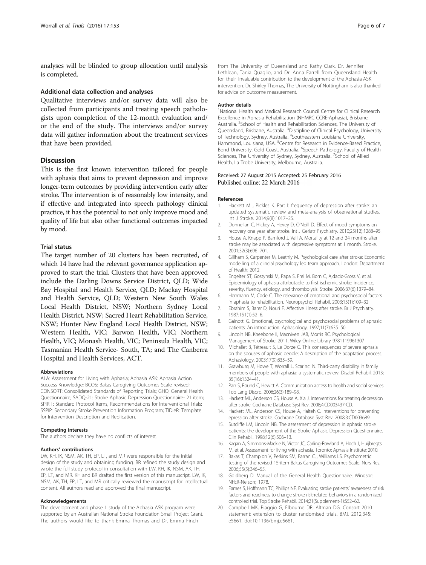<span id="page-5-0"></span>analyses will be blinded to group allocation until analysis is completed.

#### Additional data collection and analyses

Qualitative interviews and/or survey data will also be collected from participants and treating speech pathologists upon completion of the 12-month evaluation and/ or the end of the study. The interviews and/or survey data will gather information about the treatment services that have been provided.

# Discussion

This is the first known intervention tailored for people with aphasia that aims to prevent depression and improve longer-term outcomes by providing intervention early after stroke. The intervention is of reasonably low intensity, and if effective and integrated into speech pathology clinical practice, it has the potential to not only improve mood and quality of life but also other functional outcomes impacted by mood.

## Trial status

The target number of 20 clusters has been recruited, of which 14 have had the relevant governance application approved to start the trial. Clusters that have been approved include the Darling Downs Service District, QLD; Wide Bay Hospital and Health Service, QLD; Mackay Hospital and Health Service, QLD; Western New South Wales Local Health District, NSW; Northern Sydney Local Health District, NSW; Sacred Heart Rehabilitation Service, NSW; Hunter New England Local Health District, NSW; Western Health, VIC; Barwon Health, VIC; Northern Health, VIC; Monash Health, VIC; Peninsula Health, VIC; Tasmanian Health Service- South, TA; and The Canberra Hospital and Health Services, ACT.

#### Abbreviations

ALA: Assessment for Living with Aphasia; Aphasia ASK: Aphasia Action Success Knowledge; BCOS: Bakas Caregiving Outcomes Scale revised; CONSORT: Consolidated Standards of Reporting Trials; GHQ: General Health Questionnaire; SADQ-21: Stroke Aphasic Depression Questionnaire- 21 item; SPIRIT: Standard Protocol Items, Recommendations for Interventional Trials; SSPIP: Secondary Stroke Prevention Information Program; TIDieR: Template for Intervention Description and Replication.

#### Competing interests

The authors declare they have no conflicts of interest.

#### Authors' contributions

LW, KH, IK, NSM, AK, TH, EP, LT, and MR were responsible for the initial design of the study and obtaining funding. BR refined the study design and wrote the full study protocol in consultation with LW, KH, IK, NSM, AK, TH, EP, LT, and MR. KH and BR drafted the first version of this manuscript. LW, IK, NSM, AK, TH, EP, LT, and MR critically reviewed the manuscript for intellectual content. All authors read and approved the final manuscript.

#### Acknowledgements

The development and phase 1 study of the Aphasia ASK program were supported by an Australian National Stroke Foundation Small Project Grant. The authors would like to thank Emma Thomas and Dr. Emma Finch

from The University of Queensland and Kathy Clark, Dr. Jennifer Lethlean, Tania Quaglio, and Dr. Anna Farrell from Queensland Health for their invaluable contribution to the development of the Aphasia ASK intervention. Dr. Shirley Thomas, The University of Nottingham is also thanked for advice on outcome measurement.

#### Author details

<sup>1</sup>National Health and Medical Research Council Centre for Clinical Research Excellence in Aphasia Rehabilitation (NHMRC CCRE-Aphasia), Brisbane, Australia. <sup>2</sup>School of Health and Rehabilitation Sciences, The University of Queensland, Brisbane, Australia. <sup>3</sup>Discipline of Clinical Psychology, University of Technology, Sydney, Australia. <sup>4</sup>Southeastern Louisiana University Hammond, Louisiana, USA. <sup>5</sup>Centre for Research in Evidence-Based Practice, Bond University, Gold Coast, Australia. <sup>6</sup>Speech Pathology, Faculty of Health Sciences, The University of Sydney, Sydney, Australia. <sup>7</sup>School of Allied Health, La Trobe University, Melbourne, Australia.

#### Received: 27 August 2015 Accepted: 25 February 2016 Published online: 22 March 2016

#### References

- 1. Hackett ML, Pickles K. Part I: frequency of depression after stroke: an updated systematic review and meta-analysis of observational studies. Int J Stroke. 2014;9(8):1017–25.
- 2. Donnellan C, Hickey A, Hevey D, O'Neill D. Effect of mood symptoms on recovery one year after stroke. Int J Geriatr Psychiatry. 2010;25(12):1288–95.
- 3. House A, Knapp P, Bamford J, Vail A. Mortality at 12 and 24 months after stroke may be associated with depressive symptoms at 1 month. Stroke. 2001;32(3):696–701.
- 4. Gillham S, Carpenter M, Leathly M. Psychological care after stroke: Economic modelling of a clincial psychology led team approach. London: Department of Health; 2012.
- 5. Engelter ST, Gostynski M, Papa S, Frei M, Born C, Ajdacic-Gross V, et al. Epidemiology of aphasia attributable to first ischemic stroke: incidence, severity, fluency, etiology, and thrombolysis. Stroke. 2006;37(6):1379–84.
- 6. Herrmann M, Code C. The relevance of emotional and psychosocial factors in aphasia to rehabilitation. Neuropsychol Rehabil. 2003;13(1):109–32.
- 7. Ebrahim S, Barer D, Nouri F. Affective illness after stroke. Br J Psychiatry. 1987;151(1):52–6.
- 8. Gainotti G. Emotional, psychological and psychosocial problems of aphasic patients: An introduction. Aphasiology. 1997;11(7):635–50.
- 9. Lincoln NB, Kneebone II, Macniven JAB, Morris RC. Psychological Management of Stroke. 2011. Wiley Online Library 9781119961307
- 10. Michallet B, Tétreault S, Le Dorze G. This consequences of severe aphasia on the spouses of aphasic people: A description of the adaptation process. Aphasiology. 2003;17(9):835–59.
- 11. Grawburg M, Howe T, Worrall L, Scarinci N. Third-party disability in family members of people with aphasia: a systematic review. Disabil Rehabil. 2013; 35(16):1324–41.
- 12. Parr S, Pound C, Hewitt A. Communication access to health and social services. Top Lang Disord. 2006;26(3):189–98.
- 13. Hackett ML, Anderson CS, House A, Xia J. Interventions for treating depression after stroke. Cochrane Database Syst Rev. 2008;4:CD003437-CD.
- 14. Hackett ML, Anderson CS, House A, Halteh C, Interventions for preventing epression after stroke. Cochrane Database Syst Rev. 2008;3:CD003689.
- 15. Sutcliffe LM, Lincoln NB. The assessment of depression in aphasic stroke patients: the development of the Stroke Aphasic Depression Questionnaire. Clin Rehabil. 1998;12(6):506–13.
- 16. Kagan A, Simmons-Mackie N, Victor JC, Carling-Rowland A, Hoch J, Huijbregts M, et al. Assessment for living with aphasia. Toronto: Aphasia Institute; 2010.
- 17. Bakas T, Champion V, Perkins SM, Farran CJ, Williams LS. Psychometric testing of the revised 15-item Bakas Caregiving Outcomes Scale. Nurs Res. 2006;55(5):346–55.
- 18. Goldberg D. Manual of the General Health Questionnaire. Windsor: NFER-Nelson; 1978.
- 19. Eames S, Hoffmann TC, Phillips NF. Evaluating stroke patients' awareness of risk factors and readiness to change stroke risk-related behaviors in a randomized controlled trial. Top Stroke Rehabil. 2014;21(Supplement-1):S52–62.
- 20. Campbell MK, Piaggio G, Elbourne DR, Altman DG. Consort 2010 statement: extension to cluster randomised trials. BMJ. 2012;345: e5661. doi:[10.1136/bmj.e5661.](http://dx.doi.org/10.1136/bmj.e5661)